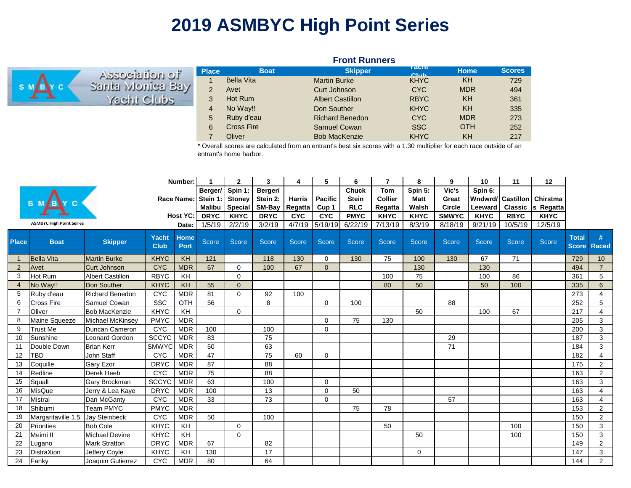## **2019 ASMBYC High Point Series**

|                  | <b>Front Runners</b> |                   |                         |                           |            |               |  |  |  |  |  |  |  |  |
|------------------|----------------------|-------------------|-------------------------|---------------------------|------------|---------------|--|--|--|--|--|--|--|--|
| To notigioozaA   | <b>Place</b>         | <b>Boat</b>       | <b>Skipper</b>          | <b>T</b> duill<br>O(1.16) | Home       | <b>Scores</b> |  |  |  |  |  |  |  |  |
|                  |                      | <b>Bella Vita</b> | <b>Martin Burke</b>     | <b>KHYC</b>               | KH         | 729           |  |  |  |  |  |  |  |  |
| Santa Monica Bay | $\mathcal{P}$        | Avet              | Curt Johnson            | <b>CYC</b>                | <b>MDR</b> | 494           |  |  |  |  |  |  |  |  |
| Yacht Clubs      | 3                    | Hot Rum           | <b>Albert Castillon</b> | <b>RBYC</b>               | KH         | 361           |  |  |  |  |  |  |  |  |
|                  | 4                    | No Way!!          | Don Souther             | <b>KHYC</b>               | KH         | 335           |  |  |  |  |  |  |  |  |
|                  | 5                    | Ruby d'eau        | <b>Richard Benedon</b>  | <b>CYC</b>                | <b>MDR</b> | 273           |  |  |  |  |  |  |  |  |
|                  | 6                    | <b>Cross Fire</b> | Samuel Cowan            | <b>SSC</b>                | <b>OTH</b> | 252           |  |  |  |  |  |  |  |  |
|                  |                      | Oliver            | <b>Bob MacKenzie</b>    | <b>KHYC</b>               | KH         | 217           |  |  |  |  |  |  |  |  |

\* Overall scores are calculated from an entrant's best six scores with a 1.30 multiplier for each race outside of an entrant's home harbor.

| Number:        |                                 |                         |                             |                     |               | $\mathbf{2}$   | 3               | 4             | 5                | 6            |                | 8           | 9            | 10                | 11             | 12           |                              |                   |
|----------------|---------------------------------|-------------------------|-----------------------------|---------------------|---------------|----------------|-----------------|---------------|------------------|--------------|----------------|-------------|--------------|-------------------|----------------|--------------|------------------------------|-------------------|
|                |                                 |                         |                             | Berger/             | Spin 1:       | Berger/        |                 |               | <b>Chuck</b>     | <b>Tom</b>   | Spin 5:        | Vic's       | Spin 6:      |                   |                |              |                              |                   |
|                |                                 |                         |                             | Race Name:          | Stein 1:      | <b>Stoney</b>  | Stein 2:        | <b>Harris</b> | <b>Pacific</b>   | <b>Stein</b> | <b>Collier</b> | <b>Matt</b> | Great        | Wndwrd/ Castillon |                | Chirstma     |                              |                   |
|                |                                 |                         |                             |                     | <b>Malibu</b> | <b>Special</b> | SM-Bay          | Regatta       | Cup <sub>1</sub> | <b>RLC</b>   | Regatta        | Walsh       | Circle       | Leeward           | <b>Classic</b> | s Regatta    |                              |                   |
|                |                                 |                         |                             | <b>Host YC:</b>     | <b>DRYC</b>   | <b>KHYC</b>    | <b>DRYC</b>     | <b>CYC</b>    | <b>CYC</b>       | <b>PMYC</b>  | <b>KHYC</b>    | <b>KHYC</b> | <b>SMWYC</b> | <b>KHYC</b>       | <b>RBYC</b>    | <b>KHYC</b>  |                              |                   |
|                | <b>ASMBYC High Point Series</b> |                         |                             | Date:               | 1/5/19        | 2/2/19         | 3/2/19          | 4/7/19        | 5/19/19          | 6/22/19      | 7/13/19        | 8/3/19      | 8/18/19      | 9/21/19           | 10/5/19        | 12/5/19      |                              |                   |
| <b>Place</b>   | <b>Boat</b>                     | <b>Skipper</b>          | <b>Yacht</b><br><b>Club</b> | <b>Home</b><br>Port | Score         | <b>Score</b>   | Score           | Score         | Score            | Score        | <b>Score</b>   | Score       | Score        | <b>Score</b>      | Score          | <b>Score</b> | <b>Total</b><br><b>Score</b> | #<br><b>Raced</b> |
| $\mathbf{1}$   | <b>Bella Vita</b>               | <b>Martin Burke</b>     | <b>KHYC</b>                 | KH                  | 121           |                | 118             | 130           | $\Omega$         | 130          | 75             | 100         | 130          | 67                | 71             |              | 729                          | 10                |
| 2              | Avet                            | <b>Curt Johnson</b>     | <b>CYC</b>                  | <b>MDR</b>          | 67            | $\Omega$       | 100             | 67            | $\Omega$         |              |                | 130         |              | 130               |                |              | 494                          | $\overline{7}$    |
| 3              | Hot Rum                         | <b>Albert Castillon</b> | <b>RBYC</b>                 | KH                  |               | $\mathbf 0$    |                 |               |                  |              | 100            | 75          |              | 100               | 86             |              | 361                          | 5                 |
| $\overline{4}$ | No Way!!                        | Don Souther             | <b>KHYC</b>                 | KH                  | 55            | $\mathbf{0}$   |                 |               |                  |              | 80             | 50          |              | 50                | 100            |              | 335                          | 6                 |
| 5              | Ruby d'eau                      | <b>Richard Benedon</b>  | <b>CYC</b>                  | <b>MDR</b>          | 81            | $\Omega$       | 92              | 100           |                  |              |                |             |              |                   |                |              | 273                          | 4                 |
| 6              | <b>Cross Fire</b>               | Samuel Cowan            | <b>SSC</b>                  | OTH                 | 56            |                | 8               |               | $\mathbf 0$      | 100          |                |             | 88           |                   |                |              | 252                          | 5                 |
| $\overline{7}$ | Oliver                          | <b>Bob MacKenzie</b>    | <b>KHYC</b>                 | KH                  |               | $\mathbf 0$    |                 |               |                  |              |                | 50          |              | 100               | 67             |              | 217                          | 4                 |
| 8              | Maine Squeeze                   | Michael McKinsey        | <b>PMYC</b>                 | <b>MDR</b>          |               |                |                 |               | $\Omega$         | 75           | 130            |             |              |                   |                |              | 205                          | 3                 |
| 9              | Trust Me                        | Duncan Cameron          | <b>CYC</b>                  | <b>MDR</b>          | 100           |                | 100             |               | $\Omega$         |              |                |             |              |                   |                |              | 200                          | 3                 |
| 10             | Sunshine                        | <b>Leonard Gordon</b>   | <b>SCCYC</b>                | <b>MDR</b>          | 83            |                | 75              |               |                  |              |                |             | 29           |                   |                |              | 187                          | 3                 |
| 11             | Double Down                     | <b>Brian Kerr</b>       | <b>SMWYC</b>                | <b>MDR</b>          | 50            |                | 63              |               |                  |              |                |             | 71           |                   |                |              | 184                          | 3                 |
| 12             | TBD                             | John Staff              | <b>CYC</b>                  | <b>MDR</b>          | 47            |                | 75              | 60            | $\Omega$         |              |                |             |              |                   |                |              | 182                          | 4                 |
| 13             | Coquille                        | <b>Gary Ezor</b>        | <b>DRYC</b>                 | <b>MDR</b>          | 87            |                | $\overline{88}$ |               |                  |              |                |             |              |                   |                |              | 175                          | $\mathbf{2}$      |
| 14             | Redline                         | Derek Heeb              | <b>CYC</b>                  | <b>MDR</b>          | 75            |                | 88              |               |                  |              |                |             |              |                   |                |              | 163                          | $\overline{2}$    |
| 15             | Squall                          | Gary Brockman           | <b>SCCYC</b>                | <b>MDR</b>          | 63            |                | 100             |               | $\mathbf 0$      |              |                |             |              |                   |                |              | 163                          | 3                 |
| 16             | MisQue                          | Jerry & Lea Kaye        | <b>DRYC</b>                 | <b>MDR</b>          | 100           |                | 13              |               | $\mathbf 0$      | 50           |                |             |              |                   |                |              | 163                          | 4                 |
| 17             | Mistral                         | Dan McGanty             | <b>CYC</b>                  | <b>MDR</b>          | 33            |                | 73              |               | $\Omega$         |              |                |             | 57           |                   |                |              | 163                          | 4                 |
| 18             | Shibumi                         | <b>Team PMYC</b>        | <b>PMYC</b>                 | <b>MDR</b>          |               |                |                 |               |                  | 75           | 78             |             |              |                   |                |              | 153                          | $\overline{2}$    |
| 19             | Margaritaville 1.5              | <b>Jay Steinbeck</b>    | <b>CYC</b>                  | <b>MDR</b>          | 50            |                | 100             |               |                  |              |                |             |              |                   |                |              | 150                          | 2                 |
| 20             | Priorities                      | <b>Bob Cole</b>         | <b>KHYC</b>                 | KH                  |               | $\mathbf 0$    |                 |               |                  |              | 50             |             |              |                   | 100            |              | 150                          | 3                 |
| 21             | Meimi II                        | <b>Michael Devine</b>   | <b>KHYC</b>                 | <b>KH</b>           |               | $\Omega$       |                 |               |                  |              |                | 50          |              |                   | 100            |              | 150                          | 3                 |
| 22             | Lugano                          | <b>Mark Stratton</b>    | <b>DRYC</b>                 | <b>MDR</b>          | 67            |                | 82              |               |                  |              |                |             |              |                   |                |              | 149                          | $\overline{2}$    |
| 23             | DistraXion                      | Jeffery Coyle           | <b>KHYC</b>                 | KH                  | 130           |                | 17              |               |                  |              |                | $\Omega$    |              |                   |                |              | 147                          | 3                 |
| 24             | Fanky                           | Joaquin Gutierrez       | <b>CYC</b>                  | <b>MDR</b>          | 80            |                | 64              |               |                  |              |                |             |              |                   |                |              | 144                          | $\overline{2}$    |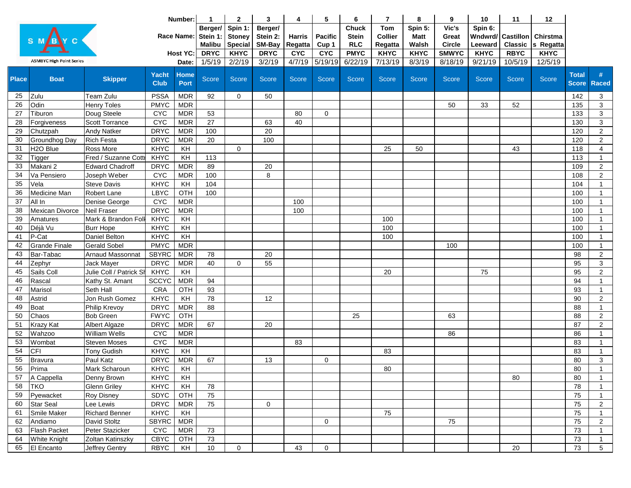|                 |                                 |                         |                      | Number:             | $\mathbf 1$                          | $\mathbf{2}$                               | 3                             | 4                        | 5                       | 6                                          | $\overline{7}$                          | 8                               | 9                               | 10                            | 11                                 | 12                    |                              |                 |
|-----------------|---------------------------------|-------------------------|----------------------|---------------------|--------------------------------------|--------------------------------------------|-------------------------------|--------------------------|-------------------------|--------------------------------------------|-----------------------------------------|---------------------------------|---------------------------------|-------------------------------|------------------------------------|-----------------------|------------------------------|-----------------|
|                 |                                 |                         |                      | Race Name:          | Berger/<br>Stein 1:<br><b>Malibu</b> | Spin 1:<br><b>Stoney</b><br><b>Special</b> | Berger/<br>Stein 2:<br>SM-Bay | <b>Harris</b><br>Regatta | <b>Pacific</b><br>Cup 1 | <b>Chuck</b><br><b>Stein</b><br><b>RLC</b> | <b>Tom</b><br><b>Collier</b><br>Regatta | Spin 5:<br><b>Matt</b><br>Walsh | Vic's<br>Great<br><b>Circle</b> | Spin 6:<br>Wndwrd/<br>Leeward | <b>Castillon</b><br><b>Classic</b> | Chirstma<br>s Regatta |                              |                 |
|                 |                                 |                         |                      | Host YC:            | <b>DRYC</b>                          | <b>KHYC</b>                                | <b>DRYC</b>                   | <b>CYC</b>               | <b>CYC</b>              | <b>PMYC</b>                                | <b>KHYC</b>                             | <b>KHYC</b>                     | <b>SMWYC</b>                    | <b>KHYC</b>                   | <b>RBYC</b>                        | <b>KHYC</b>           |                              |                 |
|                 | <b>ASMBYC High Point Series</b> |                         |                      | Date:               | 1/5/19                               | 2/2/19                                     | 3/2/19                        | 4/7/19                   | 5/19/19                 | 6/22/19                                    | 7/13/19                                 | 8/3/19                          | 8/18/19                         | 9/21/19                       | 10/5/19                            | 12/5/19               |                              |                 |
| <b>Place</b>    | <b>Boat</b>                     | <b>Skipper</b>          | Yacht<br><b>Club</b> | <b>Home</b><br>Port | Score                                | Score                                      | Score                         | Score                    | Score                   | Score                                      | Score                                   | Score                           | Score                           | Score                         | <b>Score</b>                       | Score                 | <b>Total</b><br><b>Score</b> | #<br>Raced      |
| 25              | Zulu                            | Team Zulu               | <b>PSSA</b>          | <b>MDR</b>          | 92                                   | $\mathbf 0$                                | 50                            |                          |                         |                                            |                                         |                                 |                                 |                               |                                    |                       | 142                          | 3               |
| 26              | Odin                            | <b>Henry Toles</b>      | <b>PMYC</b>          | <b>MDR</b>          |                                      |                                            |                               |                          |                         |                                            |                                         |                                 | 50                              | 33                            | 52                                 |                       | 135                          | 3               |
| 27              | Tiburon                         | Doug Steele             | <b>CYC</b>           | <b>MDR</b>          | 53                                   |                                            |                               | 80                       | $\mathbf 0$             |                                            |                                         |                                 |                                 |                               |                                    |                       | 133                          | 3               |
| 28              | Forgiveness                     | <b>Scott Torrance</b>   | <b>CYC</b>           | <b>MDR</b>          | 27                                   |                                            | 63                            | 40                       |                         |                                            |                                         |                                 |                                 |                               |                                    |                       | 130                          | 3               |
| 29              | Chutzpah                        | <b>Andy Natker</b>      | <b>DRYC</b>          | <b>MDR</b>          | 100                                  |                                            | 20                            |                          |                         |                                            |                                         |                                 |                                 |                               |                                    |                       | 120                          | $\overline{2}$  |
| 30              | Groundhog Day                   | <b>Rich Festa</b>       | <b>DRYC</b>          | <b>MDR</b>          | 20                                   |                                            | 100                           |                          |                         |                                            |                                         |                                 |                                 |                               |                                    |                       | 120                          | $\overline{2}$  |
| 31              | H <sub>2O</sub> Blue            | Ross More               | <b>KHYC</b>          | KH                  |                                      | $\mathbf 0$                                |                               |                          |                         |                                            | 25                                      | 50                              |                                 |                               | 43                                 |                       | 118                          | $\overline{4}$  |
| 32              | Tigger                          | Fred / Suzanne Cottl    | <b>KHYC</b>          | KH                  | 113                                  |                                            |                               |                          |                         |                                            |                                         |                                 |                                 |                               |                                    |                       | 113                          | $\mathbf{1}$    |
| 33              | Makani 2                        | <b>Edward Chadroff</b>  | <b>DRYC</b>          | <b>MDR</b>          | 89                                   |                                            | 20                            |                          |                         |                                            |                                         |                                 |                                 |                               |                                    |                       | 109                          | $\sqrt{2}$      |
| 34              | Va Pensiero                     | Joseph Weber            | <b>CYC</b>           | <b>MDR</b>          | 100                                  |                                            | 8                             |                          |                         |                                            |                                         |                                 |                                 |                               |                                    |                       | 108                          | $\overline{2}$  |
| $\overline{35}$ | Vela                            | <b>Steve Davis</b>      | <b>KHYC</b>          | KH                  | 104                                  |                                            |                               |                          |                         |                                            |                                         |                                 |                                 |                               |                                    |                       | 104                          | $\mathbf{1}$    |
| 36              | Medicine Man                    | Robert Lane             | LBYC                 | OTH                 | 100                                  |                                            |                               |                          |                         |                                            |                                         |                                 |                                 |                               |                                    |                       | 100                          | $\mathbf{1}$    |
| 37              | All In                          | Denise George           | <b>CYC</b>           | <b>MDR</b>          |                                      |                                            |                               | 100                      |                         |                                            |                                         |                                 |                                 |                               |                                    |                       | 100                          | $\mathbf{1}$    |
| 38              | Mexican Divorce                 | Neil Fraser             | <b>DRYC</b>          | <b>MDR</b>          |                                      |                                            |                               | 100                      |                         |                                            |                                         |                                 |                                 |                               |                                    |                       | 100                          | $\overline{1}$  |
| 39              | Amatures                        | Mark & Brandon Foll     | <b>KHYC</b>          | KH                  |                                      |                                            |                               |                          |                         |                                            | 100                                     |                                 |                                 |                               |                                    |                       | 100                          | $\overline{1}$  |
| 40              | Déjà Vu                         | <b>Burr Hope</b>        | <b>KHYC</b>          | KH                  |                                      |                                            |                               |                          |                         |                                            | 100                                     |                                 |                                 |                               |                                    |                       | 100                          | $\mathbf{1}$    |
| 41              | P-Cat                           | Daniel Belton           | <b>KHYC</b>          | KH                  |                                      |                                            |                               |                          |                         |                                            | 100                                     |                                 |                                 |                               |                                    |                       | 100                          | $\mathbf{1}$    |
| 42              | <b>Grande Finale</b>            | <b>Gerald Sobel</b>     | <b>PMYC</b>          | <b>MDR</b>          |                                      |                                            |                               |                          |                         |                                            |                                         |                                 | 100                             |                               |                                    |                       | 100                          | $\mathbf{1}$    |
| 43              | Bar-Tabac                       | Arnaud Massonnat        | <b>SBYRC</b>         | <b>MDR</b>          | 78                                   |                                            | 20                            |                          |                         |                                            |                                         |                                 |                                 |                               |                                    |                       | 98                           | $\overline{2}$  |
| 44              | Zephyr                          | Jack Mayer              | <b>DRYC</b>          | <b>MDR</b>          | 40                                   | $\mathbf 0$                                | 55                            |                          |                         |                                            |                                         |                                 |                                 |                               |                                    |                       | 95                           | 3               |
| 45              | Sails Coll                      | Julie Coll / Patrick Sh | <b>KHYC</b>          | KH                  |                                      |                                            |                               |                          |                         |                                            | 20                                      |                                 |                                 | 75                            |                                    |                       | 95                           | $\sqrt{2}$      |
| 46              | Rascal                          | Kathy St. Amant         | <b>SCCYC</b>         | <b>MDR</b>          | 94                                   |                                            |                               |                          |                         |                                            |                                         |                                 |                                 |                               |                                    |                       | 94                           | $\mathbf{1}$    |
| 47              | Marisol                         | Seth Hall               | CRA                  | OTH                 | 93                                   |                                            |                               |                          |                         |                                            |                                         |                                 |                                 |                               |                                    |                       | 93                           | $\mathbf{1}$    |
| 48              | Astrid                          | Jon Rush Gomez          | <b>KHYC</b>          | KH                  | 78                                   |                                            | 12                            |                          |                         |                                            |                                         |                                 |                                 |                               |                                    |                       | 90                           | $\overline{2}$  |
| 49              | Boat                            | Philip Krevoy           | <b>DRYC</b>          | <b>MDR</b>          | $\overline{88}$                      |                                            |                               |                          |                         |                                            |                                         |                                 |                                 |                               |                                    |                       | 88                           | $\mathbf{1}$    |
| 50              | Chaos                           | <b>Bob Green</b>        | <b>FWYC</b>          | OTH                 |                                      |                                            |                               |                          |                         | 25                                         |                                         |                                 | 63                              |                               |                                    |                       | 88                           | $\overline{2}$  |
| 51              | <b>Krazy Kat</b>                | Albert Algaze           | <b>DRYC</b>          | <b>MDR</b>          | 67                                   |                                            | 20                            |                          |                         |                                            |                                         |                                 |                                 |                               |                                    |                       | 87                           | $\overline{2}$  |
| 52              | Wahzoo                          | William Wells           | <b>CYC</b>           | <b>MDR</b>          |                                      |                                            |                               |                          |                         |                                            |                                         |                                 | 86                              |                               |                                    |                       | 86                           | $\mathbf{1}$    |
| 53              | Wombat                          | Steven Moses            | <b>CYC</b>           | <b>MDR</b>          |                                      |                                            |                               | 83                       |                         |                                            |                                         |                                 |                                 |                               |                                    |                       | 83                           | $\mathbf{1}$    |
| 54              | <b>CFI</b>                      | <b>Tony Gudish</b>      | <b>KHYC</b>          | KH                  |                                      |                                            |                               |                          |                         |                                            | 83                                      |                                 |                                 |                               |                                    |                       | 83                           | $\mathbf{1}$    |
| 55              | Bravura                         | Paul Katz               | <b>DRYC</b>          | <b>MDR</b>          | 67                                   |                                            | 13                            |                          | 0                       |                                            |                                         |                                 |                                 |                               |                                    |                       | 80                           | 3               |
| 56              | Prima                           | Mark Scharoun           | <b>KHYC</b>          | KH                  |                                      |                                            |                               |                          |                         |                                            | 80                                      |                                 |                                 |                               |                                    |                       | 80                           | $\mathbf{1}$    |
| 57              | A Cappella                      | Denny Brown             | <b>KHYC</b>          | KH                  |                                      |                                            |                               |                          |                         |                                            |                                         |                                 |                                 |                               | 80                                 |                       | 80                           | -1              |
| 58              | <b>TKO</b>                      | <b>Glenn Griley</b>     | <b>KHYC</b>          | KH                  | $\overline{78}$                      |                                            |                               |                          |                         |                                            |                                         |                                 |                                 |                               |                                    |                       | 78                           | $\mathbf{1}$    |
| 59              | Pyewacket                       | Roy Disney              | SDYC                 | OTH                 | 75                                   |                                            |                               |                          |                         |                                            |                                         |                                 |                                 |                               |                                    |                       | 75                           | $\mathbf{1}$    |
| 60              | <b>Star Seal</b>                | Lee Lewis               | <b>DRYC</b>          | <b>MDR</b>          | 75                                   |                                            | 0                             |                          |                         |                                            |                                         |                                 |                                 |                               |                                    |                       | 75                           | $\overline{2}$  |
| 61              | Smile Maker                     | <b>Richard Benner</b>   | <b>KHYC</b>          | KH                  |                                      |                                            |                               |                          |                         |                                            | 75                                      |                                 |                                 |                               |                                    |                       | 75                           | $\mathbf{1}$    |
| 62              | Andiamo                         | David Stoltz            | SBYRC                | <b>MDR</b>          |                                      |                                            |                               |                          | 0                       |                                            |                                         |                                 | 75                              |                               |                                    |                       | 75                           | 2               |
| 63              | Flash Packet                    | Peter Stazicker         | <b>CYC</b>           | <b>MDR</b>          | 73                                   |                                            |                               |                          |                         |                                            |                                         |                                 |                                 |                               |                                    |                       | 73                           | $\mathbf{1}$    |
| 64              | <b>White Knight</b>             | Zoltan Katinszky        | <b>CBYC</b>          | OTH                 | 73                                   |                                            |                               |                          |                         |                                            |                                         |                                 |                                 |                               |                                    |                       | 73                           | $\mathbf{1}$    |
| 65              | El Encanto                      | Jeffrey Gentry          | <b>RBYC</b>          | KH                  | 10                                   | $\mathbf 0$                                |                               | 43                       | $\boldsymbol{0}$        |                                            |                                         |                                 |                                 |                               | 20                                 |                       | 73                           | $5\overline{)}$ |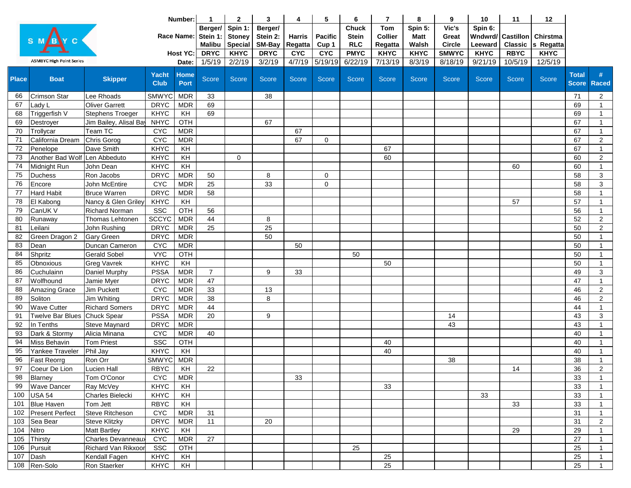|              |                                 |                                           | Number:                   |                          | $\mathbf{1}$                         | $\mathbf{2}$                               | 3                             | 4                        | 5                       | 6                                          | $\overline{7}$                          | 8                               | 9                               | 10                                      | 11             | 12                    |                                    |                                |
|--------------|---------------------------------|-------------------------------------------|---------------------------|--------------------------|--------------------------------------|--------------------------------------------|-------------------------------|--------------------------|-------------------------|--------------------------------------------|-----------------------------------------|---------------------------------|---------------------------------|-----------------------------------------|----------------|-----------------------|------------------------------------|--------------------------------|
|              |                                 |                                           |                           | Race Name:               | Berger/<br>Stein 1:<br><b>Malibu</b> | Spin 1:<br><b>Stoney</b><br><b>Special</b> | Berger/<br>Stein 2:<br>SM-Bay | <b>Harris</b><br>Regatta | <b>Pacific</b><br>Cup 1 | <b>Chuck</b><br><b>Stein</b><br><b>RLC</b> | <b>Tom</b><br><b>Collier</b><br>Regatta | Spin 5:<br><b>Matt</b><br>Walsh | Vic's<br>Great<br><b>Circle</b> | Spin 6:<br>Wndwrd/ Castillon<br>Leeward | <b>Classic</b> | Chirstma<br>s Regatta |                                    |                                |
|              |                                 |                                           |                           | <b>Host YC:</b>          | <b>DRYC</b>                          | <b>KHYC</b>                                | <b>DRYC</b>                   | <b>CYC</b>               | <b>CYC</b>              | <b>PMYC</b>                                | <b>KHYC</b>                             | <b>KHYC</b>                     | <b>SMWYC</b>                    | <b>KHYC</b>                             | <b>RBYC</b>    | <b>KHYC</b>           |                                    |                                |
|              | <b>ASMBYC High Point Series</b> |                                           |                           | Date:                    | 1/5/19                               | 2/2/19                                     | 3/2/19                        | 4/7/19                   | 5/19/19                 | 6/22/19                                    | 7/13/19                                 | 8/3/19                          | 8/18/19                         | 9/21/19                                 | 10/5/19        | 12/5/19               |                                    |                                |
| <b>Place</b> | <b>Boat</b>                     | <b>Skipper</b>                            | Yacht<br><b>Club</b>      | <b>Home</b><br>Port      | Score                                | Score                                      | Score                         | <b>Score</b>             | <b>Score</b>            | <b>Score</b>                               | <b>Score</b>                            | <b>Score</b>                    | <b>Score</b>                    | <b>Score</b>                            | <b>Score</b>   | Score                 | <b>Total</b><br><b>Score Raced</b> |                                |
| 66           | Crimson Star                    | Lee Rhoads                                | <b>SMWYC</b>              | <b>MDR</b>               | 33                                   |                                            | 38                            |                          |                         |                                            |                                         |                                 |                                 |                                         |                |                       | 71                                 | $\overline{2}$                 |
| 67           | Lady L                          | <b>Oliver Garrett</b>                     | <b>DRYC</b>               | <b>MDR</b>               | 69                                   |                                            |                               |                          |                         |                                            |                                         |                                 |                                 |                                         |                |                       | 69                                 | $\mathbf{1}$                   |
| 68           | Triggerfish V                   | <b>Stephens Troeger</b>                   | <b>KHYC</b>               | KH                       | 69                                   |                                            |                               |                          |                         |                                            |                                         |                                 |                                 |                                         |                |                       | 69                                 | $\mathbf{1}$                   |
| 69           | Destroyer                       | Jim Bailey, Alisal Bay                    | <b>NHYC</b>               | OTH                      |                                      |                                            | 67                            |                          |                         |                                            |                                         |                                 |                                 |                                         |                |                       | 67                                 | $\mathbf{1}$                   |
| 70           | Trollycar                       | Team TC                                   | <b>CYC</b>                | <b>MDR</b>               |                                      |                                            |                               | 67                       |                         |                                            |                                         |                                 |                                 |                                         |                |                       | 67                                 | $\mathbf{1}$                   |
| 71           | California Dream                | Chris Gorog                               | <b>CYC</b>                | <b>MDR</b>               |                                      |                                            |                               | 67                       | 0                       |                                            |                                         |                                 |                                 |                                         |                |                       | 67                                 | $\sqrt{2}$                     |
| 72           | Penelope                        | Dave Smith                                | <b>KHYC</b>               | KH                       |                                      |                                            |                               |                          |                         |                                            | 67                                      |                                 |                                 |                                         |                |                       | 67                                 | $\mathbf{1}$                   |
| 73           | Another Bad Wolf Len Abbeduto   |                                           | <b>KHYC</b>               | KH                       |                                      | $\mathbf 0$                                |                               |                          |                         |                                            | 60                                      |                                 |                                 |                                         |                |                       | 60                                 | $\overline{2}$                 |
| 74           | Midnight Run                    | John Dean                                 | <b>KHYC</b>               | KH                       |                                      |                                            |                               |                          |                         |                                            |                                         |                                 |                                 |                                         | 60             |                       | 60                                 | $\mathbf{1}$                   |
| 75           | <b>Duchess</b>                  | Ron Jacobs                                | <b>DRYC</b>               | <b>MDR</b>               | 50                                   |                                            | 8                             |                          | $\mathbf 0$             |                                            |                                         |                                 |                                 |                                         |                |                       | 58                                 | $\mathbf{3}$                   |
| 76           | Encore                          | John McEntire                             | <b>CYC</b>                | <b>MDR</b>               | 25                                   |                                            | 33                            |                          | 0                       |                                            |                                         |                                 |                                 |                                         |                |                       | 58                                 | $\sqrt{3}$                     |
| 77           | <b>Hard Habit</b>               | <b>Bruce Warren</b>                       | <b>DRYC</b>               | <b>MDR</b>               | 58                                   |                                            |                               |                          |                         |                                            |                                         |                                 |                                 |                                         |                |                       | 58                                 | $\mathbf{1}$                   |
| 78           | El Kabong                       | Nancy & Glen Griley                       | <b>KHYC</b>               | KH                       |                                      |                                            |                               |                          |                         |                                            |                                         |                                 |                                 |                                         | 57             |                       | 57                                 | $\mathbf{1}$                   |
| 79           | CanUK V                         | <b>Richard Norman</b>                     | SSC                       | OTH                      | 56                                   |                                            |                               |                          |                         |                                            |                                         |                                 |                                 |                                         |                |                       | 56                                 | $\mathbf{1}$                   |
| 80           | Runaway                         | Thomas Lehtonen                           | <b>SCCYC</b>              | <b>MDR</b>               | 44                                   |                                            | 8                             |                          |                         |                                            |                                         |                                 |                                 |                                         |                |                       | 52                                 | $\sqrt{2}$                     |
| 81           | Leilani                         | John Rushing                              | <b>DRYC</b>               | <b>MDR</b>               | 25                                   |                                            | 25                            |                          |                         |                                            |                                         |                                 |                                 |                                         |                |                       | 50                                 | $\overline{2}$                 |
| 82           | Green Dragon 2                  | Gary Green                                | <b>DRYC</b>               | <b>MDR</b>               |                                      |                                            | 50                            |                          |                         |                                            |                                         |                                 |                                 |                                         |                |                       | 50                                 | $\mathbf{1}$                   |
| 83           | Dean                            | Duncan Cameron                            | <b>CYC</b>                | <b>MDR</b>               |                                      |                                            |                               | 50                       |                         |                                            |                                         |                                 |                                 |                                         |                |                       | 50                                 | $\mathbf{1}$                   |
| 84           | Shpritz                         | <b>Gerald Sobel</b>                       | <b>VYC</b>                | OTH                      |                                      |                                            |                               |                          |                         | 50                                         |                                         |                                 |                                 |                                         |                |                       | 50                                 | $\mathbf{1}$                   |
| 85           | Obnoxious                       | <b>Greg Vavrek</b>                        | <b>KHYC</b>               | KH                       |                                      |                                            |                               |                          |                         |                                            | 50                                      |                                 |                                 |                                         |                |                       | 50                                 | $\mathbf{1}$                   |
| 86           | Cuchulainn                      | Daniel Murphy                             | <b>PSSA</b>               | <b>MDR</b>               | $\overline{7}$                       |                                            | 9                             | 33                       |                         |                                            |                                         |                                 |                                 |                                         |                |                       | 49                                 | 3                              |
| 87           | Wolfhound                       | Jamie Myer                                | <b>DRYC</b>               | <b>MDR</b>               | 47                                   |                                            |                               |                          |                         |                                            |                                         |                                 |                                 |                                         |                |                       | 47                                 | $\overline{1}$                 |
| 88           | <b>Amazing Grace</b>            | Jim Puckett                               | <b>CYC</b>                | <b>MDR</b>               | 33                                   |                                            | 13                            |                          |                         |                                            |                                         |                                 |                                 |                                         |                |                       | 46                                 | $\overline{2}$                 |
| 89           | Soliton                         | Jim Whiting                               | <b>DRYC</b>               | <b>MDR</b>               | 38                                   |                                            | 8                             |                          |                         |                                            |                                         |                                 |                                 |                                         |                |                       | 46                                 | $\overline{2}$                 |
| 90           | <b>Wave Cutter</b>              | <b>Richard Somers</b>                     | <b>DRYC</b>               | <b>MDR</b>               | 44                                   |                                            |                               |                          |                         |                                            |                                         |                                 |                                 |                                         |                |                       | 44                                 | $\mathbf{1}$                   |
| 91           | Twelve Bar Blues                | Chuck Spear                               | <b>PSSA</b>               | <b>MDR</b>               | 20                                   |                                            | 9                             |                          |                         |                                            |                                         |                                 | 14                              |                                         |                |                       | 43                                 | $\mathbf{3}$                   |
| 92           | In Tenths                       | <b>Steve Maynard</b>                      | <b>DRYC</b>               | <b>MDR</b>               |                                      |                                            |                               |                          |                         |                                            |                                         |                                 | 43                              |                                         |                |                       | 43                                 | $\overline{1}$                 |
| 93           | Dark & Stormy                   | Alicia Minana                             | <b>CYC</b>                | <b>MDR</b>               | 40                                   |                                            |                               |                          |                         |                                            |                                         |                                 |                                 |                                         |                |                       | 40                                 | $\overline{1}$                 |
| 94           | Miss Behavin                    | <b>Tom Priest</b>                         | SSC                       | OTH                      |                                      |                                            |                               |                          |                         |                                            | 40                                      |                                 |                                 |                                         |                |                       | 40                                 | $\mathbf{1}$                   |
| 95           | Yankee Traveler                 | Phil Jay                                  | <b>KHYC</b>               | KH                       |                                      |                                            |                               |                          |                         |                                            | 40                                      |                                 |                                 |                                         |                |                       | 40                                 | $\overline{1}$                 |
| 96           | Fast Reorrg                     | Ron Orr                                   | <b>SMWYC</b>              | <b>MDR</b>               |                                      |                                            |                               |                          |                         |                                            |                                         |                                 | 38                              |                                         |                |                       | 38                                 | $\mathbf{1}$                   |
| 97           | Coeur De Lion                   | <b>Lucien Hall</b>                        | <b>RBYC</b>               | KH                       | 22                                   |                                            |                               |                          |                         |                                            |                                         |                                 |                                 |                                         | 14             |                       | 36                                 | 2                              |
| 98           | Blarney                         | Tom O'Conor                               | <b>CYC</b><br><b>KHYC</b> | <b>MDR</b>               |                                      |                                            |                               | 33                       |                         |                                            |                                         |                                 |                                 |                                         |                |                       | 33                                 | -1                             |
|              | 99 Wave Dancer                  | Ray McVey                                 |                           | KH                       |                                      |                                            |                               |                          |                         |                                            | 33                                      |                                 |                                 |                                         |                |                       | 33                                 | $\mathbf{1}$                   |
|              | 100 USA 54                      | Charles Bielecki                          | <b>KHYC</b>               | KH                       |                                      |                                            |                               |                          |                         |                                            |                                         |                                 |                                 | 33                                      |                |                       | 33                                 | $\mathbf{1}$                   |
|              | 101 Blue Haven                  | Tom Jett                                  | <b>RBYC</b>               | KH                       |                                      |                                            |                               |                          |                         |                                            |                                         |                                 |                                 |                                         | 33             |                       | 33                                 | $\mathbf{1}$                   |
|              | 102 Present Perfect             | Steve Ritcheson                           | <b>CYC</b>                | <b>MDR</b><br><b>MDR</b> | 31<br>11                             |                                            |                               |                          |                         |                                            |                                         |                                 |                                 |                                         |                |                       | 31                                 | $\mathbf{1}$                   |
|              | 103 Sea Bear<br>104 Nitro       | <b>Steve Klitzky</b>                      | <b>DRYC</b>               | KH                       |                                      |                                            | 20                            |                          |                         |                                            |                                         |                                 |                                 |                                         |                |                       | 31                                 | $\overline{2}$                 |
|              | 105 Thirsty                     | <b>Matt Bartley</b><br>Charles Devanneaux | <b>KHYC</b><br><b>CYC</b> | <b>MDR</b>               | 27                                   |                                            |                               |                          |                         |                                            |                                         |                                 |                                 |                                         | 29             |                       | 29<br>27                           | $\mathbf{1}$<br>$\mathbf 1$    |
|              | 106 Pursuit                     | Richard Van Rikxoor                       | SSC                       | OTH                      |                                      |                                            |                               |                          |                         | 25                                         |                                         |                                 |                                 |                                         |                |                       | 25                                 | $\mathbf{1}$                   |
| 107          | Dash                            | Kendall Fagen                             | <b>KHYC</b>               | KH                       |                                      |                                            |                               |                          |                         |                                            | 25                                      |                                 |                                 |                                         |                |                       | 25                                 |                                |
|              | 108 Ren-Solo                    |                                           | KHYC                      | KH                       |                                      |                                            |                               |                          |                         |                                            | 25                                      |                                 |                                 |                                         |                |                       | 25                                 | $\mathbf{1}$<br>$\overline{1}$ |
|              |                                 | Ron Staerker                              |                           |                          |                                      |                                            |                               |                          |                         |                                            |                                         |                                 |                                 |                                         |                |                       |                                    |                                |